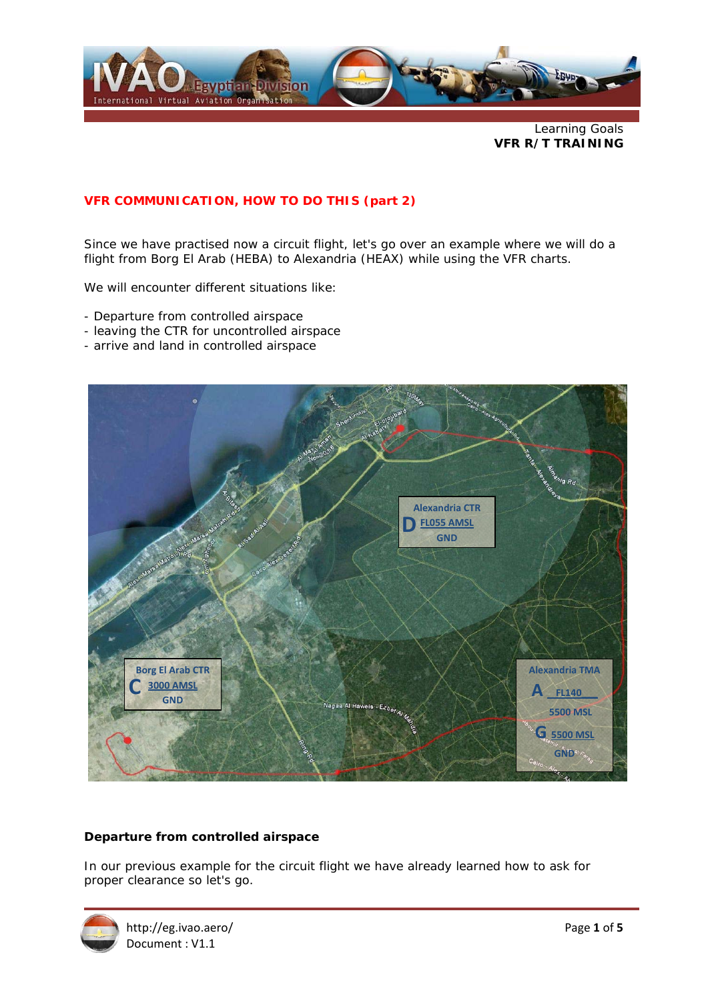

Learning Goals **VFR R/T TRAINING** 

# **VFR COMMUNICATION, HOW TO DO THIS (part 2)**

Since we have practised now a circuit flight, let's go over an example where we will do a flight from Borg El Arab (HEBA) to Alexandria (HEAX) while using the VFR charts.

We will encounter different situations like:

- Departure from controlled airspace
- leaving the CTR for uncontrolled airspace
- arrive and land in controlled airspace



#### **Departure from controlled airspace**

In our previous example for the circuit flight we have already learned how to ask for proper clearance so let's go.

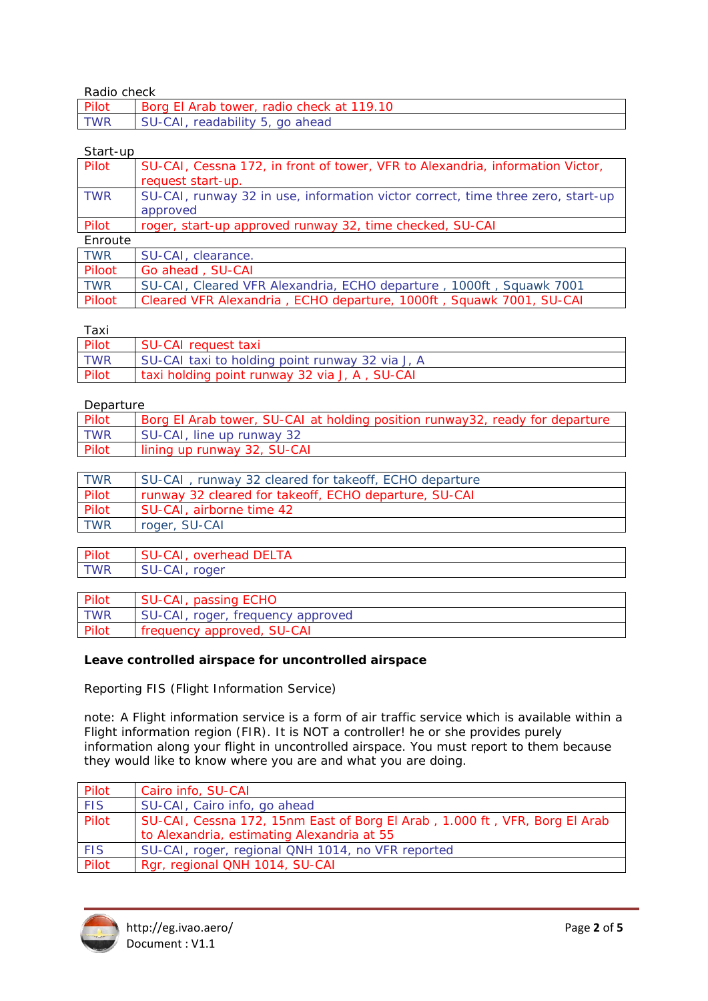## Radio check

| .          |                                           |
|------------|-------------------------------------------|
| Pilot      | Borg El Arab tower, radio check at 119.10 |
| <b>TWR</b> | SU-CAI.<br>readability 5, go ahead        |

# Start-up

| Pilot      | SU-CAI, Cessna 172, in front of tower, VFR to Alexandria, information Victor,   |
|------------|---------------------------------------------------------------------------------|
|            | request start-up.                                                               |
| TWR        | SU-CAI, runway 32 in use, information victor correct, time three zero, start-up |
|            | approved                                                                        |
| Pilot      | roger, start-up approved runway 32, time checked, SU-CAI                        |
| Enroute    |                                                                                 |
| <b>TWR</b> | SU-CAI, clearance.                                                              |
| Piloot     | Go ahead, SU-CAI                                                                |
| <b>TWR</b> | SU-CAI, Cleared VFR Alexandria, ECHO departure, 1000ft, Squawk 7001             |
| Piloot     | Cleared VFR Alexandria, ECHO departure, 1000ft, Squawk 7001, SU-CAI             |

#### Taxi

| Pilot<br>SU-CAI request taxi                           | . |  |
|--------------------------------------------------------|---|--|
|                                                        |   |  |
| TWR<br>SU-CAI taxi to holding point runway 32 via J, A |   |  |
| Pilot<br>taxi holding point runway 32 via J, A, SU-CAI |   |  |

#### Departure

| Pilot      | Borg El Arab tower, SU-CAI at holding position runway32, ready for departure |
|------------|------------------------------------------------------------------------------|
| <b>TWR</b> | SU-CAI, line up runway 32                                                    |
| Pilot      | lining up runway 32, SU-CAI                                                  |

| <b>TWR</b> | SU-CAI, runway 32 cleared for takeoff, ECHO departure |
|------------|-------------------------------------------------------|
| Pilot      | runway 32 cleared for takeoff, ECHO departure, SU-CAI |
| Pilot      | SU-CAI, airborne time 42                              |
| <b>TWR</b> | roger, SU-CAI                                         |

| Pilot | SU-CAI, overhead DELTA |
|-------|------------------------|
| TWR   | SU-CAI, roger          |
|       |                        |

| Pilot      | SU-CAI, passing ECHO              |
|------------|-----------------------------------|
| <b>TWR</b> | SU-CAI, roger, frequency approved |
| Pilot      | <b>frequency approved, SU-CAI</b> |

#### **Leave controlled airspace for uncontrolled airspace**

Reporting FIS (Flight Information Service)

note: A Flight information service is a form of air traffic service which is available within a Flight information region (FIR). It is NOT a controller! he or she provides purely information along your flight in uncontrolled airspace. You must report to them because they would like to know where you are and what you are doing.

| Pilot      | Cairo info, SU-CAI                                                         |
|------------|----------------------------------------------------------------------------|
| <b>FIS</b> | SU-CAI, Cairo info, go ahead                                               |
| Pilot      | SU-CAI, Cessna 172, 15nm East of Borg El Arab, 1.000 ft, VFR, Borg El Arab |
|            | to Alexandria, estimating Alexandria at 55                                 |
| <b>FIS</b> | SU-CAI, roger, regional QNH 1014, no VFR reported                          |
| Pilot      | Rgr, regional QNH 1014, SU-CAI                                             |

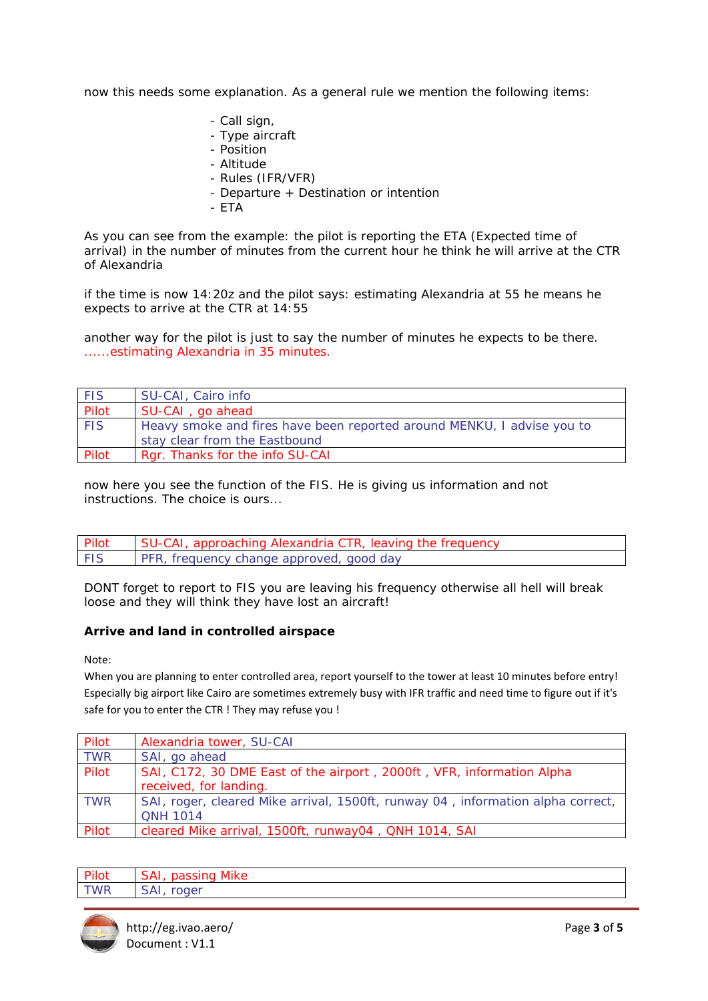now this needs some explanation. As a general rule we mention the following items:

- *Call sign,*
- *Type aircraft*
- *Position*
- *Altitude*
- *Rules (IFR/VFR)*
- Departure + Destination or intention
- *ETA*

As you can see from the example: the pilot is reporting the ETA (Expected time of arrival) in the number of minutes from the current hour he think he will arrive at the CTR of Alexandria

if the time is now 14:20z and the pilot says: estimating Alexandria at 55 he means he expects to arrive at the CTR at 14:55

another way for the pilot is just to say the number of minutes he expects to be there. ......estimating Alexandria in 35 minutes.

| <b>FIS</b> | SU-CAI, Cairo info                                                     |
|------------|------------------------------------------------------------------------|
| Pilot      | SU-CAI, go ahead                                                       |
| <b>FIS</b> | Heavy smoke and fires have been reported around MENKU, I advise you to |
|            | stay clear from the Eastbound                                          |
| Pilot      | Rgr. Thanks for the info SU-CAI                                        |

now here you see the function of the FIS. He is giving us information and not instructions. The choice is ours...

| Pilot      | SU-CAI, approaching Alexandria CTR, leaving the frequency |
|------------|-----------------------------------------------------------|
| <b>FIS</b> | <b>PFR, frequency change approved, good day</b>           |

DONT forget to report to FIS you are leaving his frequency otherwise all hell will break loose and they will think they have lost an aircraft!

## **Arrive and land in controlled airspace**

Note:

When you are planning to enter controlled area, report yourself to the tower at least 10 minutes before entry! Especially big airport like Cairo are sometimes extremely busy with IFR traffic and need time to figure out if it's safe for you to enter the CTR ! They may refuse you !

| Pilot      | Alexandria tower, SU-CAI                                                        |
|------------|---------------------------------------------------------------------------------|
| <b>TWR</b> | SAI, go ahead                                                                   |
| Pilot      | SAI, C172, 30 DME East of the airport, 2000ft, VFR, information Alpha           |
|            | received, for landing.                                                          |
| <b>TWR</b> | SAI, roger, cleared Mike arrival, 1500ft, runway 04, information alpha correct, |
|            | <b>ONH 1014</b>                                                                 |
| Pilot      | cleared Mike arrival, 1500ft, runway04, QNH 1014, SAI                           |

| Pilot      | SAI, passing Mike |
|------------|-------------------|
| <b>TWR</b> | SAI, roger        |

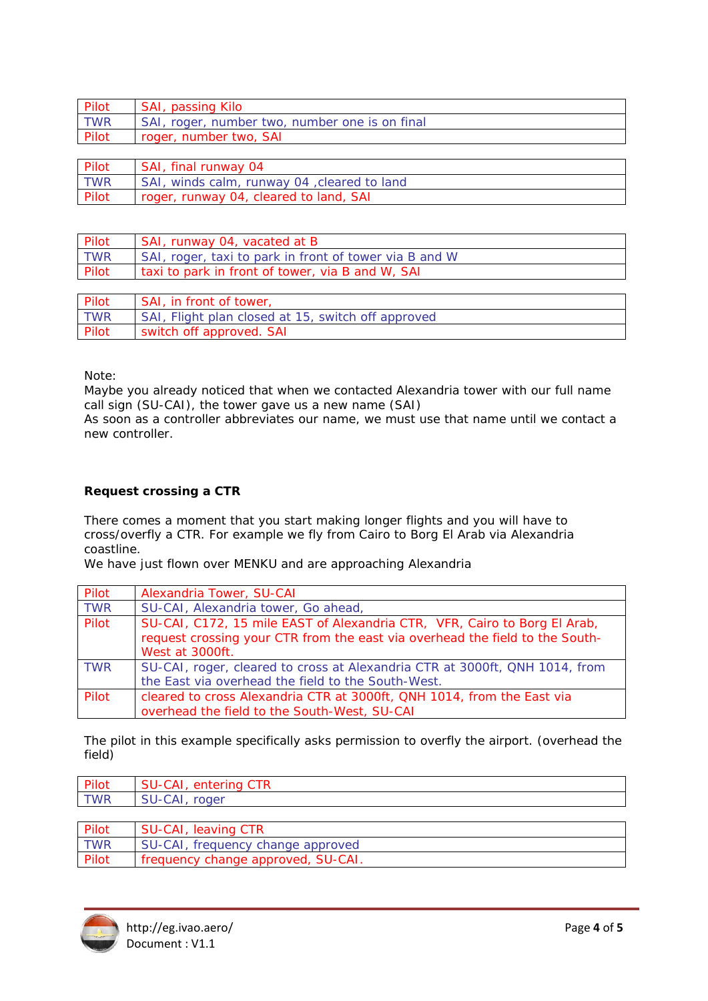| Pilot      | SAI, passing Kilo                              |
|------------|------------------------------------------------|
| <b>TWR</b> | SAI, roger, number two, number one is on final |
| Pilot      | roger, number two, SAI                         |

| <b>Pilot</b> | SAI, final runway 04                        |
|--------------|---------------------------------------------|
| <b>TWR</b>   | SAI, winds calm, runway 04, cleared to land |
| Pilot        | roger, runway 04, cleared to land, SAI      |

| Pilot | SAI, runway 04, vacated at B                           |
|-------|--------------------------------------------------------|
| TWR   | SAI, roger, taxi to park in front of tower via B and W |
| Pilot | taxi to park in front of tower, via B and W, SAI       |
|       |                                                        |

| Pilot      | SAI, in front of tower,                            |
|------------|----------------------------------------------------|
| <b>TWR</b> | SAI, Flight plan closed at 15, switch off approved |
| Pilot      | switch off approved. SAI                           |

Note:

Maybe you already noticed that when we contacted Alexandria tower with our full name call sign (SU-CAI), the tower gave us a new name (SAI)

As soon as a controller abbreviates our name, we must use that name until we contact a new controller.

# **Request crossing a CTR**

There comes a moment that you start making longer flights and you will have to cross/overfly a CTR. For example we fly from Cairo to Borg El Arab via Alexandria coastline.

We have just flown over MENKU and are approaching Alexandria

| Pilot      | Alexandria Tower, SU-CAI                                                     |
|------------|------------------------------------------------------------------------------|
| <b>TWR</b> | SU-CAI, Alexandria tower, Go ahead,                                          |
| Pilot      | SU-CAI, C172, 15 mile EAST of Alexandria CTR, VFR, Cairo to Borg El Arab,    |
|            | request crossing your CTR from the east via overhead the field to the South- |
|            | West at 3000ft.                                                              |
| <b>TWR</b> | SU-CAI, roger, cleared to cross at Alexandria CTR at 3000ft, QNH 1014, from  |
|            | the East via overhead the field to the South-West.                           |
| Pilot      | cleared to cross Alexandria CTR at 3000ft, QNH 1014, from the East via       |
|            | overhead the field to the South-West, SU-CAI                                 |

The pilot in this example specifically asks permission to overfly the airport. (overhead the field)

| Pilot      | ۰Λ.<br>enter<br>'Inc |
|------------|----------------------|
| <b>TWR</b> | roaer                |
|            |                      |

| Pilot      | SU-CAI, leaving CTR                |
|------------|------------------------------------|
| <b>TWR</b> | SU-CAI, frequency change approved  |
| Pilot      | frequency change approved, SU-CAI. |